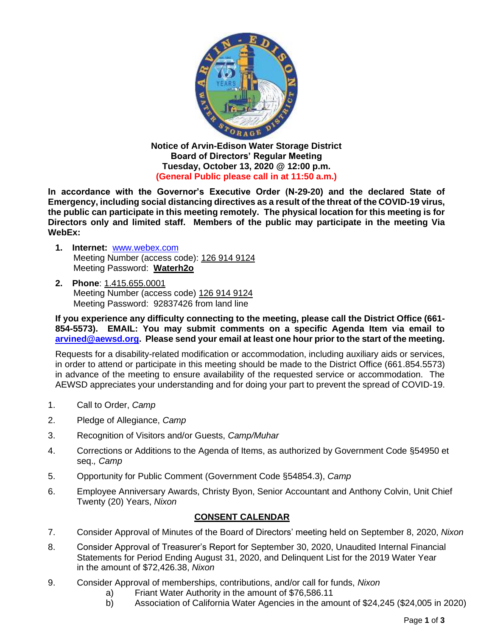

**Notice of Arvin-Edison Water Storage District Board of Directors' Regular Meeting Tuesday, October 13, 2020 @ 12:00 p.m. (General Public please call in at 11:50 a.m.)**

**In accordance with the Governor's Executive Order (N-29-20) and the declared State of Emergency, including social distancing directives as a result of the threat of the COVID-19 virus, the public can participate in this meeting remotely. The physical location for this meeting is for Directors only and limited staff. Members of the public may participate in the meeting Via WebEx:**

- **1. Internet:** [www.webex.com](http://www.webex.com/) Meeting Number (access code): 126 914 9124 Meeting Password: **Waterh2o**
- **2. Phone**: 1.415.655.0001 Meeting Number (access code) 126 914 9124 Meeting Password: 92837426 from land line

**If you experience any difficulty connecting to the meeting, please call the District Office (661- 854-5573). EMAIL: You may submit comments on a specific Agenda Item via email to [arvined@aewsd.org.](mailto:arvined@aewsd.org) Please send your email at least one hour prior to the start of the meeting.**

Requests for a disability-related modification or accommodation, including auxiliary aids or services, in order to attend or participate in this meeting should be made to the District Office (661.854.5573) in advance of the meeting to ensure availability of the requested service or accommodation. The AEWSD appreciates your understanding and for doing your part to prevent the spread of COVID-19.

- 1. Call to Order, *Camp*
- 2. Pledge of Allegiance, *Camp*
- 3. Recognition of Visitors and/or Guests, *Camp/Muhar*
- 4. Corrections or Additions to the Agenda of Items, as authorized by Government Code §54950 et seq.*, Camp*
- 5. Opportunity for Public Comment (Government Code §54854.3), *Camp*
- 6. Employee Anniversary Awards, Christy Byon, Senior Accountant and Anthony Colvin, Unit Chief Twenty (20) Years, *Nixon*

## **CONSENT CALENDAR**

- 7. Consider Approval of Minutes of the Board of Directors' meeting held on September 8, 2020, *Nixon*
- 8. Consider Approval of Treasurer's Report for September 30, 2020, Unaudited Internal Financial Statements for Period Ending August 31, 2020, and Delinquent List for the 2019 Water Year in the amount of \$72,426.38, *Nixon*
- 9. Consider Approval of memberships, contributions, and/or call for funds, *Nixon*
	- a) Friant Water Authority in the amount of \$76,586.11
	- b) Association of California Water Agencies in the amount of \$24,245 (\$24,005 in 2020)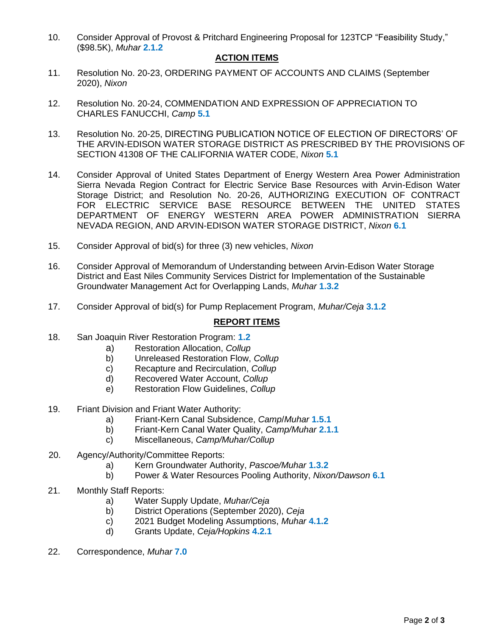10. Consider Approval of Provost & Pritchard Engineering Proposal for 123TCP "Feasibility Study," (\$98.5K), *Muhar* **2.1.2**

## **ACTION ITEMS**

- 11. Resolution No. 20-23, ORDERING PAYMENT OF ACCOUNTS AND CLAIMS (September 2020), *Nixon*
- 12. Resolution No. 20-24, COMMENDATION AND EXPRESSION OF APPRECIATION TO CHARLES FANUCCHI, *Camp* **5.1**
- 13. Resolution No. 20-25, DIRECTING PUBLICATION NOTICE OF ELECTION OF DIRECTORS' OF THE ARVIN-EDISON WATER STORAGE DISTRICT AS PRESCRIBED BY THE PROVISIONS OF SECTION 41308 OF THE CALIFORNIA WATER CODE, *Nixon* **5.1**
- 14. Consider Approval of United States Department of Energy Western Area Power Administration Sierra Nevada Region Contract for Electric Service Base Resources with Arvin-Edison Water Storage District; and Resolution No. 20-26, AUTHORIZING EXECUTION OF CONTRACT FOR ELECTRIC SERVICE BASE RESOURCE BETWEEN THE UNITED STATES DEPARTMENT OF ENERGY WESTERN AREA POWER ADMINISTRATION SIERRA NEVADA REGION, AND ARVIN-EDISON WATER STORAGE DISTRICT, *Nixon* **6.1**
- 15. Consider Approval of bid(s) for three (3) new vehicles, *Nixon*
- 16. Consider Approval of Memorandum of Understanding between Arvin-Edison Water Storage District and East Niles Community Services District for Implementation of the Sustainable Groundwater Management Act for Overlapping Lands, *Muhar* **1.3.2**
- 17. Consider Approval of bid(s) for Pump Replacement Program, *Muhar/Ceja* **3.1.2**

## **REPORT ITEMS**

- 18. San Joaquin River Restoration Program: **1.2**
	- a) Restoration Allocation, *Collup*
	- b) Unreleased Restoration Flow, *Collup*
	- c) Recapture and Recirculation, *Collup*
	- d) Recovered Water Account, *Collup*
	- e) Restoration Flow Guidelines, *Collup*
- 19. Friant Division and Friant Water Authority:
	- a) Friant-Kern Canal Subsidence, *Camp*/*Muhar* **1.5.1**
	- b) Friant-Kern Canal Water Quality, *Camp/Muhar* **2.1.1**
	- c) Miscellaneous, *Camp/Muhar/Collup*
- 20. Agency/Authority/Committee Reports:
	- a) Kern Groundwater Authority, *Pascoe/Muhar* **1.3.2**
	- b) Power & Water Resources Pooling Authority, *Nixon/Dawson* **6.1**
- 21. Monthly Staff Reports:
	- a) Water Supply Update, *Muhar/Ceja*
	- b) District Operations (September 2020), *Ceja*
	- c) 2021 Budget Modeling Assumptions, *Muhar* **4.1.2**
	- d) Grants Update, *Ceja/Hopkins* **4.2.1**
- 22. Correspondence, *Muhar* **7.0**